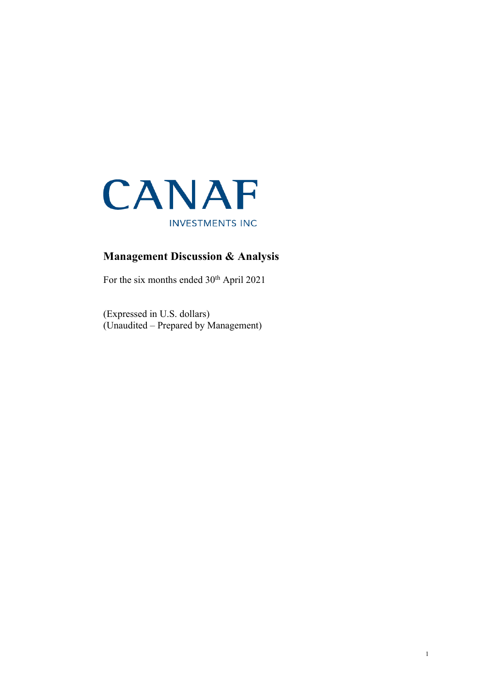

# **Management Discussion & Analysis**

For the six months ended  $30<sup>th</sup>$  April 2021

(Expressed in U.S. dollars) (Unaudited – Prepared by Management)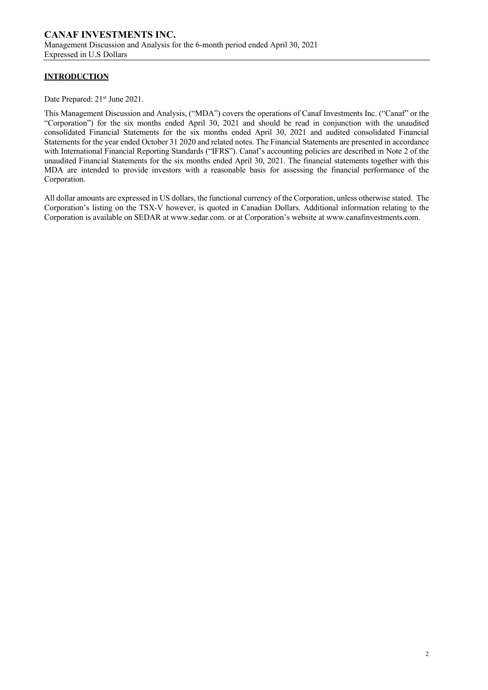# **INTRODUCTION**

Date Prepared: 21<sup>st</sup> June 2021.

This Management Discussion and Analysis, ("MDA") covers the operations of Canaf Investments Inc. ("Canaf" or the "Corporation") for the six months ended April 30, 2021 and should be read in conjunction with the unaudited consolidated Financial Statements for the six months ended April 30, 2021 and audited consolidated Financial Statements for the year ended October 31 2020 and related notes. The Financial Statements are presented in accordance with International Financial Reporting Standards ("IFRS"). Canaf's accounting policies are described in Note 2 of the unaudited Financial Statements for the six months ended April 30, 2021. The financial statements together with this MDA are intended to provide investors with a reasonable basis for assessing the financial performance of the Corporation.

All dollar amounts are expressed in US dollars, the functional currency of the Corporation, unless otherwise stated. The Corporation's listing on the TSX-V however, is quoted in Canadian Dollars. Additional information relating to the Corporation is available on SEDAR at www.sedar.com. or at Corporation's website at www.canafinvestments.com.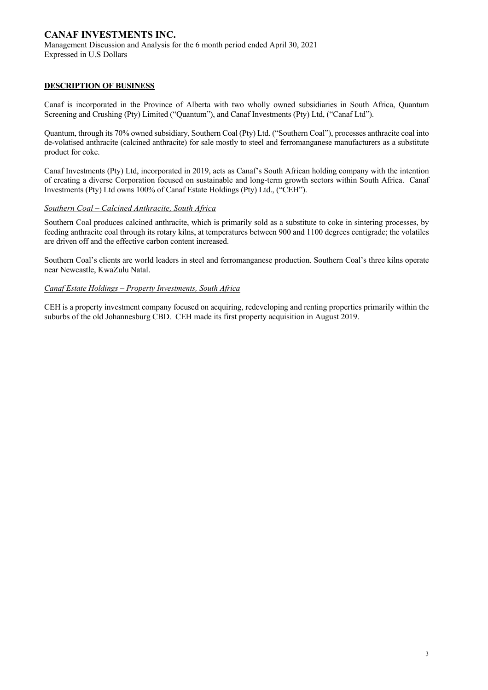# **DESCRIPTION OF BUSINESS**

Canaf is incorporated in the Province of Alberta with two wholly owned subsidiaries in South Africa, Quantum Screening and Crushing (Pty) Limited ("Quantum"), and Canaf Investments (Pty) Ltd, ("Canaf Ltd").

Quantum, through its 70% owned subsidiary, Southern Coal (Pty) Ltd. ("Southern Coal"), processes anthracite coal into de-volatised anthracite (calcined anthracite) for sale mostly to steel and ferromanganese manufacturers as a substitute product for coke.

Canaf Investments (Pty) Ltd, incorporated in 2019, acts as Canaf's South African holding company with the intention of creating a diverse Corporation focused on sustainable and long-term growth sectors within South Africa. Canaf Investments (Pty) Ltd owns 100% of Canaf Estate Holdings (Pty) Ltd., ("CEH").

# *Southern Coal – Calcined Anthracite, South Africa*

Southern Coal produces calcined anthracite, which is primarily sold as a substitute to coke in sintering processes, by feeding anthracite coal through its rotary kilns, at temperatures between 900 and 1100 degrees centigrade; the volatiles are driven off and the effective carbon content increased.

Southern Coal's clients are world leaders in steel and ferromanganese production. Southern Coal's three kilns operate near Newcastle, KwaZulu Natal.

# *Canaf Estate Holdings – Property Investments, South Africa*

CEH is a property investment company focused on acquiring, redeveloping and renting properties primarily within the suburbs of the old Johannesburg CBD. CEH made its first property acquisition in August 2019.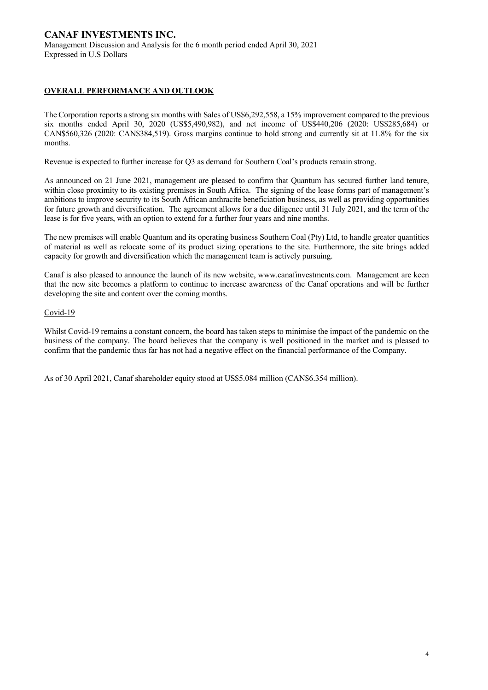# **OVERALL PERFORMANCE AND OUTLOOK**

The Corporation reports a strong six months with Sales of US\$6,292,558, a 15% improvement compared to the previous six months ended April 30, 2020 (US\$5,490,982), and net income of US\$440,206 (2020: US\$285,684) or CAN\$560,326 (2020: CAN\$384,519). Gross margins continue to hold strong and currently sit at 11.8% for the six months.

Revenue is expected to further increase for Q3 as demand for Southern Coal's products remain strong.

As announced on 21 June 2021, management are pleased to confirm that Quantum has secured further land tenure, within close proximity to its existing premises in South Africa. The signing of the lease forms part of management's ambitions to improve security to its South African anthracite beneficiation business, as well as providing opportunities for future growth and diversification. The agreement allows for a due diligence until 31 July 2021, and the term of the lease is for five years, with an option to extend for a further four years and nine months.

The new premises will enable Quantum and its operating business Southern Coal (Pty) Ltd, to handle greater quantities of material as well as relocate some of its product sizing operations to the site. Furthermore, the site brings added capacity for growth and diversification which the management team is actively pursuing.

Canaf is also pleased to announce the launch of its new website, www.canafinvestments.com. Management are keen that the new site becomes a platform to continue to increase awareness of the Canaf operations and will be further developing the site and content over the coming months.

#### Covid-19

Whilst Covid-19 remains a constant concern, the board has taken steps to minimise the impact of the pandemic on the business of the company. The board believes that the company is well positioned in the market and is pleased to confirm that the pandemic thus far has not had a negative effect on the financial performance of the Company.

As of 30 April 2021, Canaf shareholder equity stood at US\$5.084 million (CAN\$6.354 million).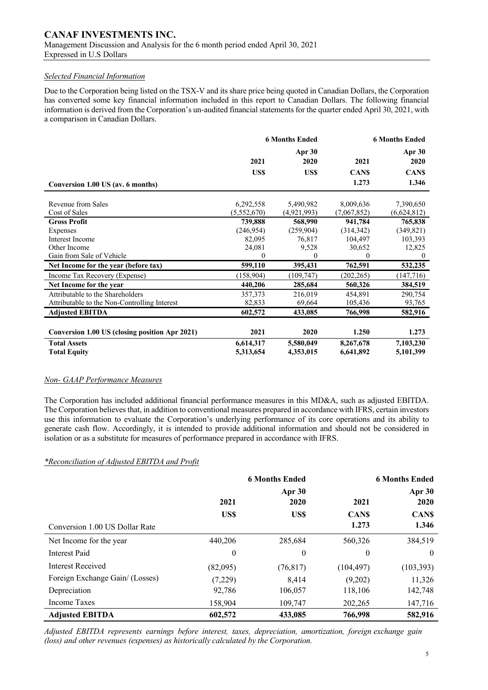# *Selected Financial Information*

Due to the Corporation being listed on the TSX-V and its share price being quoted in Canadian Dollars, the Corporation has converted some key financial information included in this report to Canadian Dollars. The following financial information is derived from the Corporation's un-audited financial statements for the quarter ended April 30, 2021, with a comparison in Canadian Dollars.

|                                                |             | <b>6 Months Ended</b> | <b>6 Months Ended</b> |                  |  |
|------------------------------------------------|-------------|-----------------------|-----------------------|------------------|--|
|                                                | 2021        | Apr 30<br>2020        | 2021                  | Apr $30$<br>2020 |  |
|                                                | US\$        | <b>USS</b>            | <b>CANS</b>           | <b>CANS</b>      |  |
| Conversion 1.00 US (av. 6 months)              |             |                       | 1.273                 | 1.346            |  |
|                                                |             |                       |                       |                  |  |
| Revenue from Sales                             | 6,292,558   | 5,490,982             | 8,009,636             | 7,390,650        |  |
| Cost of Sales                                  | (5,552,670) | (4,921,993)           | (7,067,852)           | (6,624,812)      |  |
| <b>Gross Profit</b>                            | 739,888     | 568,990               | 941,784               | 765,838          |  |
| Expenses                                       | (246, 954)  | (259,904)             | (314, 342)            | (349, 821)       |  |
| Interest Income                                | 82,095      | 76,817                | 104,497               | 103,393          |  |
| Other Income                                   | 24,081      | 9,528                 | 30,652                | 12,825           |  |
| Gain from Sale of Vehicle                      | $\Omega$    | $\theta$              | $\Omega$              | $\theta$         |  |
| Net Income for the year (before tax)           | 599,110     | 395,431               | 762,591               | 532,235          |  |
| Income Tax Recovery (Expense)                  | (158, 904)  | (109, 747)            | (202, 265)            | (147, 716)       |  |
| Net Income for the year                        | 440,206     | 285,684               | 560,326               | 384,519          |  |
| Attributable to the Shareholders               | 357,373     | 216,019               | 454,891               | 290,754          |  |
| Attributable to the Non-Controlling Interest   | 82,833      | 69,664                | 105,436               | 93,765           |  |
| <b>Adjusted EBITDA</b>                         | 602,572     | 433,085               | 766,998               | 582,916          |  |
|                                                |             |                       |                       |                  |  |
| Conversion 1.00 US (closing position Apr 2021) | 2021        | 2020                  | 1.250                 | 1.273            |  |
| <b>Total Assets</b>                            | 6,614,317   | 5,580,049             | 8,267,678             | 7,103,230        |  |
| <b>Total Equity</b>                            | 5,313,654   | 4,353,015             | 6,641,892             | 5,101,399        |  |

# *Non- GAAP Performance Measures*

The Corporation has included additional financial performance measures in this MD&A, such as adjusted EBITDA. The Corporation believes that, in addition to conventional measures prepared in accordance with IFRS, certain investors use this information to evaluate the Corporation's underlying performance of its core operations and its ability to generate cash flow. Accordingly, it is intended to provide additional information and should not be considered in isolation or as a substitute for measures of performance prepared in accordance with IFRS.

# *\*Reconciliation of Adjusted EBITDA and Profit*

|                                 |                  | <b>6 Months Ended</b> |             | <b>6 Months Ended</b> |  |
|---------------------------------|------------------|-----------------------|-------------|-----------------------|--|
|                                 |                  | Apr 30                |             | Apr $30$              |  |
|                                 | 2021             | 2020                  | 2021        | 2020                  |  |
|                                 | US\$             | US\$                  | <b>CANS</b> | <b>CANS</b>           |  |
| Conversion 1.00 US Dollar Rate  |                  |                       | 1.273       | 1.346                 |  |
| Net Income for the year         | 440,206          | 285,684               | 560,326     | 384,519               |  |
| Interest Paid                   | $\boldsymbol{0}$ | $\overline{0}$        | $\theta$    | $\theta$              |  |
| Interest Received               | (82,095)         | (76, 817)             | (104, 497)  | (103, 393)            |  |
| Foreign Exchange Gain/ (Losses) | (7,229)          | 8.414                 | (9,202)     | 11,326                |  |
| Depreciation                    | 92,786           | 106,057               | 118,106     | 142,748               |  |
| Income Taxes                    | 158,904          | 109,747               | 202,265     | 147,716               |  |
| <b>Adjusted EBITDA</b>          | 602,572          | 433,085               | 766,998     | 582,916               |  |

*Adjusted EBITDA represents earnings before interest, taxes, depreciation, amortization, foreign exchange gain (loss) and other revenues (expenses) as historically calculated by the Corporation.*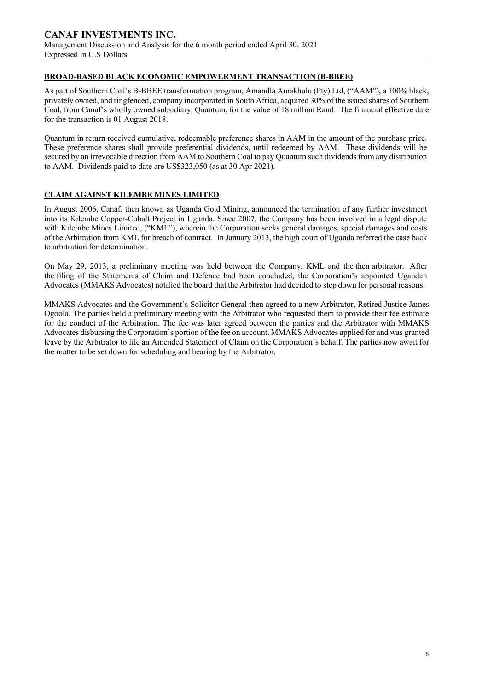# **BROAD-BASED BLACK ECONOMIC EMPOWERMENT TRANSACTION (B-BBEE)**

As part of Southern Coal's B-BBEE transformation program, Amandla Amakhulu (Pty) Ltd, ("AAM"), a 100% black, privately owned, and ringfenced, company incorporated in South Africa, acquired 30% of the issued shares of Southern Coal, from Canaf's wholly owned subsidiary, Quantum, for the value of 18 million Rand. The financial effective date for the transaction is 01 August 2018.

Quantum in return received cumulative, redeemable preference shares in AAM in the amount of the purchase price. These preference shares shall provide preferential dividends, until redeemed by AAM. These dividends will be secured by an irrevocable direction from AAM to Southern Coal to pay Quantum such dividends from any distribution to AAM. Dividends paid to date are US\$323,050 (as at 30 Apr 2021).

# **CLAIM AGAINST KILEMBE MINES LIMITED**

In August 2006, Canaf, then known as Uganda Gold Mining, announced the termination of any further investment into its Kilembe Copper-Cobalt Project in Uganda. Since 2007, the Company has been involved in a legal dispute with Kilembe Mines Limited, ("KML"), wherein the Corporation seeks general damages, special damages and costs of the Arbitration from KML for breach of contract. In January 2013, the high court of Uganda referred the case back to arbitration for determination.

On May 29, 2013, a preliminary meeting was held between the Company, KML and the then arbitrator. After the filing of the Statements of Claim and Defence had been concluded, the Corporation's appointed Ugandan Advocates (MMAKS Advocates) notified the board that the Arbitrator had decided to step down for personal reasons.

MMAKS Advocates and the Government's Solicitor General then agreed to a new Arbitrator, Retired Justice James Ogoola. The parties held a preliminary meeting with the Arbitrator who requested them to provide their fee estimate for the conduct of the Arbitration. The fee was later agreed between the parties and the Arbitrator with MMAKS Advocates disbursing the Corporation's portion of the fee on account. MMAKS Advocates applied for and was granted leave by the Arbitrator to file an Amended Statement of Claim on the Corporation's behalf. The parties now await for the matter to be set down for scheduling and hearing by the Arbitrator.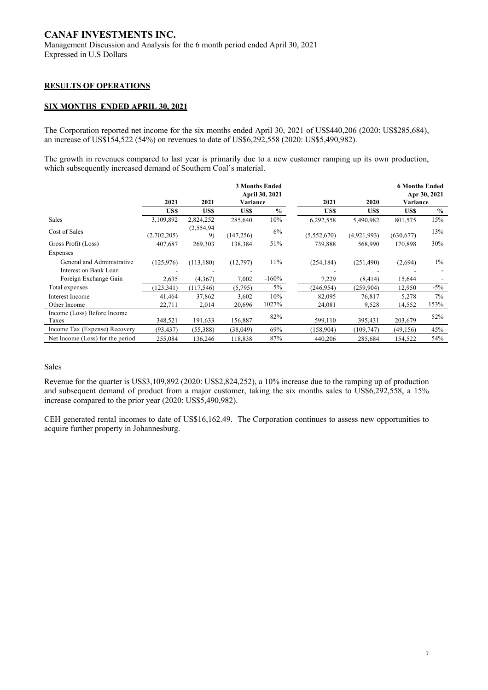# **RESULTS OF OPERATIONS**

## **SIX MONTHS ENDED APRIL 30, 2021**

The Corporation reported net income for the six months ended April 30, 2021 of US\$440,206 (2020: US\$285,684), an increase of US\$154,522 (54%) on revenues to date of US\$6,292,558 (2020: US\$5,490,982).

The growth in revenues compared to last year is primarily due to a new customer ramping up its own production, which subsequently increased demand of Southern Coal's material.

|                                  | 2021        | 2021             | Variance   | <b>3 Months Ended</b><br><b>April 30, 2021</b> | 2021        | 2020        | <b>6 Months Ended</b><br>Variance | Apr 30, 2021  |
|----------------------------------|-------------|------------------|------------|------------------------------------------------|-------------|-------------|-----------------------------------|---------------|
|                                  |             |                  |            |                                                |             |             |                                   |               |
|                                  | US\$        | US\$             | US\$       | $\%$                                           | US\$        | US\$        | US\$                              | $\frac{0}{0}$ |
| Sales                            | 3,109,892   | 2,824,252        | 285,640    | 10%                                            | 6,292,558   | 5,490,982   | 801,575                           | 15%           |
| Cost of Sales                    | (2,702,205) | (2,554,94)<br>9) | (147, 256) | 6%                                             | (5,552,670) | (4,921,993) | (630, 677)                        | 13%           |
| Gross Profit (Loss)              | 407,687     | 269,303          | 138,384    | 51%                                            | 739.888     | 568,990     | 170,898                           | 30%           |
| Expenses                         |             |                  |            |                                                |             |             |                                   |               |
| General and Administrative       | (125,976)   | (113, 180)       | (12,797)   | 11%                                            | (254, 184)  | (251, 490)  | (2,694)                           | $1\%$         |
| Interest on Bank Loan            |             |                  |            |                                                |             |             |                                   |               |
| Foreign Exchange Gain            | 2,635       | (4,367)          | 7,002      | $-160%$                                        | 7,229       | (8, 414)    | 15,644                            |               |
| Total expenses                   | (123, 341)  | (117, 546)       | (5,795)    | $5\%$                                          | (246, 954)  | (259, 904)  | 12,950                            | $-5\%$        |
| Interest Income                  | 41,464      | 37,862           | 3,602      | 10%                                            | 82,095      | 76,817      | 5,278                             | $7\%$         |
| Other Income                     | 22,711      | 2,014            | 20,696     | 1027%                                          | 24,081      | 9,528       | 14,552                            | 153%          |
| Income (Loss) Before Income      |             |                  |            | 82%                                            |             |             |                                   |               |
| Taxes                            | 348,521     | 191,633          | 156,887    |                                                | 599,110     | 395,431     | 203,679                           | 52%           |
| Income Tax (Expense) Recovery    | (93, 437)   | (55, 388)        | (38,049)   | 69%                                            | (158,904)   | (109, 747)  | (49, 156)                         | 45%           |
| Net Income (Loss) for the period | 255,084     | 136,246          | 118,838    | 87%                                            | 440,206     | 285,684     | 154,522                           | 54%           |

#### **Sales**

Revenue for the quarter is US\$3,109,892 (2020: US\$2,824,252), a 10% increase due to the ramping up of production and subsequent demand of product from a major customer, taking the six months sales to US\$6,292,558, a 15% increase compared to the prior year (2020: US\$5,490,982).

CEH generated rental incomes to date of US\$16,162.49. The Corporation continues to assess new opportunities to acquire further property in Johannesburg.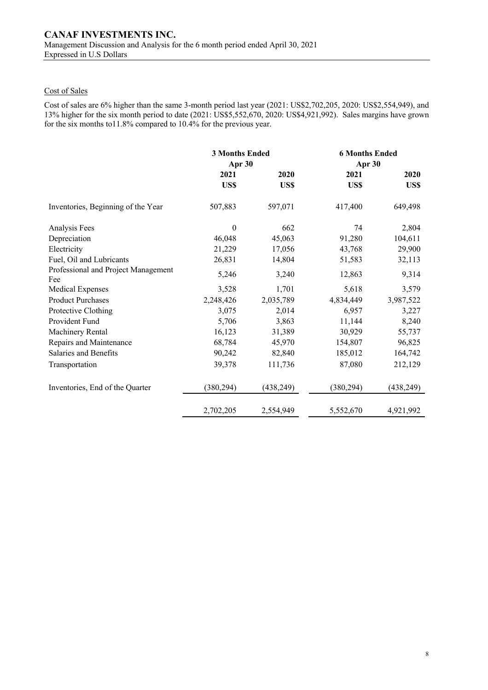# Cost of Sales

Cost of sales are 6% higher than the same 3-month period last year (2021: US\$2,702,205, 2020: US\$2,554,949), and 13% higher for the six month period to date (2021: US\$5,552,670, 2020: US\$4,921,992). Sales margins have grown for the six months to11.8% compared to 10.4% for the previous year.

|                                            | <b>3 Months Ended</b><br>Apr 30 |            | <b>6 Months Ended</b><br>Apr 30 |            |  |
|--------------------------------------------|---------------------------------|------------|---------------------------------|------------|--|
|                                            | 2021                            | 2020       | 2021                            | 2020       |  |
|                                            | US\$                            | US\$       | US\$                            | US\$       |  |
| Inventories, Beginning of the Year         | 507,883                         | 597,071    | 417,400                         | 649,498    |  |
| Analysis Fees                              | $\boldsymbol{0}$                | 662        | 74                              | 2,804      |  |
| Depreciation                               | 46,048                          | 45,063     | 91,280                          | 104,611    |  |
| Electricity                                | 21,229                          | 17,056     | 43,768                          | 29,900     |  |
| Fuel, Oil and Lubricants                   | 26,831                          | 14,804     | 51,583                          | 32,113     |  |
| Professional and Project Management<br>Fee | 5,246                           | 3,240      | 12,863                          | 9,314      |  |
| Medical Expenses                           | 3,528                           | 1,701      | 5,618                           | 3,579      |  |
| <b>Product Purchases</b>                   | 2,248,426                       | 2,035,789  | 4,834,449                       | 3,987,522  |  |
| Protective Clothing                        | 3,075                           | 2,014      | 6,957                           | 3,227      |  |
| Provident Fund                             | 5,706                           | 3,863      | 11,144                          | 8,240      |  |
| Machinery Rental                           | 16,123                          | 31,389     | 30,929                          | 55,737     |  |
| Repairs and Maintenance                    | 68,784                          | 45,970     | 154,807                         | 96,825     |  |
| Salaries and Benefits                      | 90,242                          | 82,840     | 185,012                         | 164,742    |  |
| Transportation                             | 39,378                          | 111,736    | 87,080                          | 212,129    |  |
| Inventories, End of the Quarter            | (380, 294)                      | (438, 249) | (380, 294)                      | (438, 249) |  |
|                                            | 2,702,205                       | 2,554,949  | 5,552,670                       | 4,921,992  |  |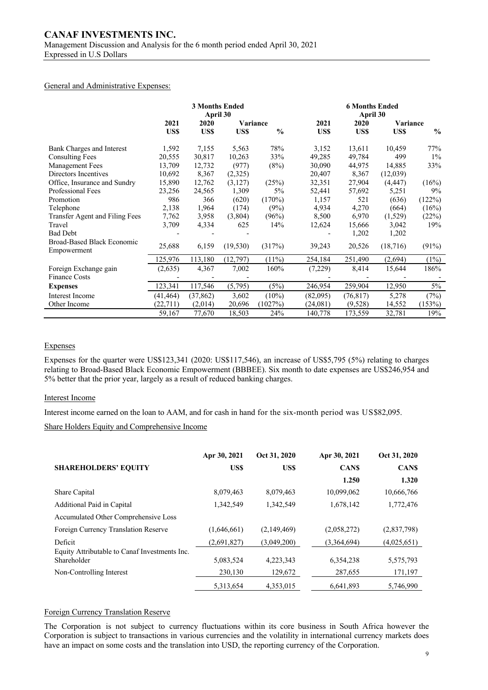#### General and Administrative Expenses:

|                                           | <b>3 Months Ended</b><br>April 30 |           |           | <b>6 Months Ended</b><br>April 30 |          |           |          |               |
|-------------------------------------------|-----------------------------------|-----------|-----------|-----------------------------------|----------|-----------|----------|---------------|
|                                           | 2021                              | 2020      |           | Variance                          | 2021     | 2020      | Variance |               |
|                                           | US\$                              | US\$      | US\$      | $\frac{0}{0}$                     | US\$     | US\$      | US\$     | $\frac{0}{0}$ |
| Bank Charges and Interest                 | 1,592                             | 7,155     | 5,563     | 78%                               | 3,152    | 13,611    | 10,459   | 77%           |
| <b>Consulting Fees</b>                    | 20,555                            | 30,817    | 10,263    | 33%                               | 49,285   | 49,784    | 499      | $1\%$         |
| <b>Management Fees</b>                    | 13,709                            | 12,732    | (977)     | (8%)                              | 30,090   | 44,975    | 14,885   | 33%           |
| Directors Incentives                      | 10,692                            | 8,367     | (2,325)   |                                   | 20,407   | 8,367     | (12,039) |               |
| Office, Insurance and Sundry              | 15,890                            | 12,762    | (3,127)   | (25%)                             | 32,351   | 27,904    | (4, 447) | (16%)         |
| Professional Fees                         | 23,256                            | 24,565    | 1,309     | 5%                                | 52,441   | 57,692    | 5,251    | 9%            |
| Promotion                                 | 986                               | 366       | (620)     | (170%)                            | 1,157    | 521       | (636)    | (122%)        |
| Telephone                                 | 2,138                             | 1,964     | (174)     | (9%)                              | 4,934    | 4,270     | (664)    | (16%)         |
| Transfer Agent and Filing Fees            | 7,762                             | 3,958     | (3,804)   | (96%)                             | 8,500    | 6,970     | (1,529)  | (22%)         |
| Travel                                    | 3,709                             | 4,334     | 625       | 14%                               | 12,624   | 15,666    | 3,042    | 19%           |
| <b>Bad Debt</b>                           |                                   |           |           |                                   |          | 1,202     | 1,202    |               |
| Broad-Based Black Economic<br>Empowerment | 25,688                            | 6,159     | (19, 530) | (317%)                            | 39,243   | 20,526    | (18,716) | (91%)         |
|                                           | 125,976                           | 113,180   | (12,797)  | $(11\%)$                          | 254,184  | 251,490   | (2,694)  | (1%)          |
| Foreign Exchange gain                     | (2,635)                           | 4,367     | 7,002     | 160%                              | (7,229)  | 8,414     | 15,644   | 186%          |
| <b>Finance Costs</b>                      |                                   |           |           |                                   |          |           |          |               |
| <b>Expenses</b>                           | 123,341                           | 117,546   | (5,795)   | (5%)                              | 246,954  | 259,904   | 12,950   | $5\%$         |
| Interest Income                           | (41, 464)                         | (37, 862) | 3,602     | $(10\%)$                          | (82,095) | (76, 817) | 5,278    | (7%)          |
| Other Income                              | (22, 711)                         | (2,014)   | 20,696    | (1027%)                           | (24,081) | (9,528)   | 14,552   | (153%)        |
|                                           | 59,167                            | 77,670    | 18,503    | 24%                               | 140,778  | 173,559   | 32,781   | 19%           |

# Expenses

Expenses for the quarter were US\$123,341 (2020: US\$117,546), an increase of US\$5,795 (5%) relating to charges relating to Broad-Based Black Economic Empowerment (BBBEE). Six month to date expenses are US\$246,954 and 5% better that the prior year, largely as a result of reduced banking charges.

#### Interest Income

Interest income earned on the loan to AAM, and for cash in hand for the six-month period was US\$82,095.

Share Holders Equity and Comprehensive Income

|                                                              | Apr 30, 2021 | Oct 31, 2020 | Apr 30, 2021 | Oct 31, 2020 |
|--------------------------------------------------------------|--------------|--------------|--------------|--------------|
| <b>SHAREHOLDERS' EQUITY</b>                                  | US\$         | US\$         | <b>CANS</b>  | <b>CANS</b>  |
|                                                              |              |              | 1.250        | 1.320        |
| Share Capital                                                | 8,079,463    | 8,079,463    | 10,099,062   | 10,666,766   |
| Additional Paid in Capital                                   | 1,342,549    | 1,342,549    | 1,678,142    | 1,772,476    |
| Accumulated Other Comprehensive Loss                         |              |              |              |              |
| Foreign Currency Translation Reserve                         | (1,646,661)  | (2,149,469)  | (2,058,272)  | (2,837,798)  |
| Deficit                                                      | (2,691,827)  | (3,049,200)  | (3,364,694)  | (4,025,651)  |
| Equity Attributable to Canaf Investments Inc.<br>Shareholder | 5,083,524    | 4,223,343    | 6,354,238    | 5,575,793    |
| Non-Controlling Interest                                     | 230,130      | 129,672      | 287,655      | 171,197      |
|                                                              | 5.313.654    | 4.353.015    | 6,641,893    | 5.746.990    |

### Foreign Currency Translation Reserve

The Corporation is not subject to currency fluctuations within its core business in South Africa however the Corporation is subject to transactions in various currencies and the volatility in international currency markets does have an impact on some costs and the translation into USD, the reporting currency of the Corporation.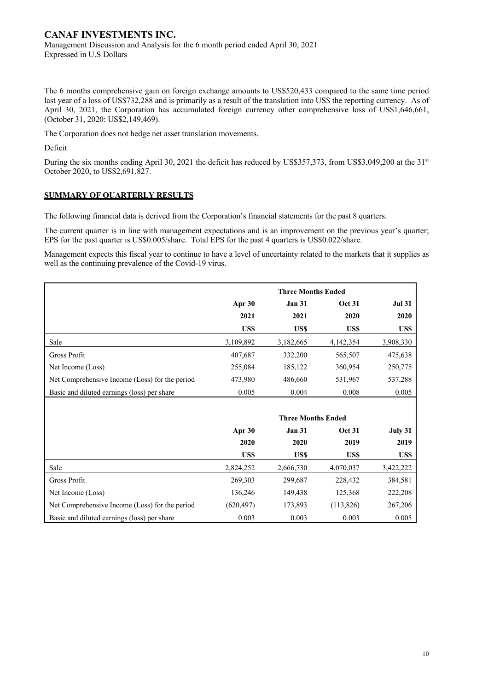The 6 months comprehensive gain on foreign exchange amounts to US\$520,433 compared to the same time period last year of a loss of US\$732,288 and is primarily as a result of the translation into US\$ the reporting currency. As of April 30, 2021, the Corporation has accumulated foreign currency other comprehensive loss of US\$1,646,661, (October 31, 2020: US\$2,149,469).

The Corporation does not hedge net asset translation movements.

Deficit

During the six months ending April 30, 2021 the deficit has reduced by US\$357,373, from US\$3,049,200 at the 31<sup>st</sup> October 2020, to US\$2,691,827.

# **SUMMARY OF QUARTERLY RESULTS**

The following financial data is derived from the Corporation's financial statements for the past 8 quarters.

The current quarter is in line with management expectations and is an improvement on the previous year's quarter; EPS for the past quarter is US\$0.005/share. Total EPS for the past 4 quarters is US\$0.022/share.

Management expects this fiscal year to continue to have a level of uncertainty related to the markets that it supplies as well as the continuing prevalence of the Covid-19 virus.

|                                                |            | <b>Three Months Ended</b> |               |               |
|------------------------------------------------|------------|---------------------------|---------------|---------------|
|                                                | Apr 30     | <b>Jan 31</b>             | <b>Oct 31</b> | <b>Jul 31</b> |
|                                                | 2021       | 2021                      | 2020          | 2020          |
|                                                | US\$       | US\$                      | US\$          | US\$          |
| Sale                                           | 3,109,892  | 3,182,665                 | 4,142,354     | 3,908,330     |
| Gross Profit                                   | 407,687    | 332,200                   | 565,507       | 475,638       |
| Net Income (Loss)                              | 255,084    | 185,122                   | 360,954       | 250,775       |
| Net Comprehensive Income (Loss) for the period | 473,980    | 486,660                   | 531,967       | 537,288       |
| Basic and diluted earnings (loss) per share    | 0.005      | 0.004                     | 0.008         | 0.005         |
|                                                |            |                           |               |               |
|                                                |            | <b>Three Months Ended</b> |               |               |
|                                                | Apr 30     | <b>Jan 31</b>             | <b>Oct 31</b> | July 31       |
|                                                | 2020       | 2020                      | 2019          | 2019          |
|                                                | US\$       | US\$                      | US\$          | US\$          |
| Sale                                           | 2,824,252  | 2,666,730                 | 4,070,037     | 3,422,222     |
| Gross Profit                                   | 269,303    | 299,687                   | 228,432       | 384,581       |
| Net Income (Loss)                              | 136,246    | 149,438                   | 125,368       | 222,208       |
| Net Comprehensive Income (Loss) for the period | (620, 497) | 173,893                   | (113,826)     | 267,206       |
| Basic and diluted earnings (loss) per share    | 0.003      | 0.003                     | 0.003         | 0.005         |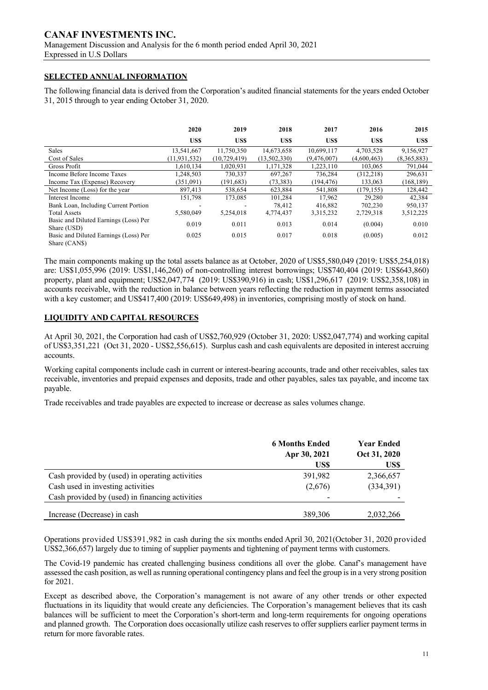# **CANAF INVESTMENTS INC.**

Management Discussion and Analysis for the 6 month period ended April 30, 2021 Expressed in U.S Dollars

# **SELECTED ANNUAL INFORMATION**

The following financial data is derived from the Corporation's audited financial statements for the years ended October 31, 2015 through to year ending October 31, 2020.

|                                                        | 2020           | 2019         | 2018         | 2017        | 2016        | 2015        |
|--------------------------------------------------------|----------------|--------------|--------------|-------------|-------------|-------------|
|                                                        | US\$           | US\$         | US\$         | US\$        | US\$        | US\$        |
| Sales                                                  | 13,541,667     | 11,750,350   | 14,673,658   | 10,699,117  | 4,703,528   | 9,156,927   |
| Cost of Sales                                          | (11, 931, 532) | (10.729.419) | (13,502,330) | (9,476,007) | (4,600,463) | (8,365,883) |
| <b>Gross Profit</b>                                    | 1.610.134      | 1.020.931    | 1.171.328    | 1.223.110   | 103,065     | 791,044     |
| Income Before Income Taxes                             | 1.248.503      | 730,337      | 697.267      | 736.284     | (312.218)   | 296.631     |
| Income Tax (Expense) Recovery                          | (351,091)      | (191, 683)   | (73, 383)    | (194, 476)  | 133,063     | (168, 189)  |
| Net Income (Loss) for the year                         | 897,413        | 538,654      | 623,884      | 541,808     | (179.155)   | 128,442     |
| Interest Income                                        | 151,798        | 173,085      | 101,284      | 17.962      | 29,280      | 42,384      |
| Bank Loan, Including Current Portion                   | -              |              | 78.412       | 416,882     | 702,230     | 950.137     |
| <b>Total Assets</b>                                    | 5,580,049      | 5,254,018    | 4,774,437    | 3,315,232   | 2,729,318   | 3,512,225   |
| Basic and Diluted Earnings (Loss) Per<br>Share (USD)   | 0.019          | 0.011        | 0.013        | 0.014       | (0.004)     | 0.010       |
| Basic and Diluted Earnings (Loss) Per<br>Share (CAN\$) | 0.025          | 0.015        | 0.017        | 0.018       | (0.005)     | 0.012       |

The main components making up the total assets balance as at October, 2020 of US\$5,580,049 (2019: US\$5,254,018) are: US\$1,055,996 (2019: US\$1,146,260) of non-controlling interest borrowings; US\$740,404 (2019: US\$643,860) property, plant and equipment; US\$2,047,774 (2019: US\$390,916) in cash; US\$1,296,617 (2019: US\$2,358,108) in accounts receivable, with the reduction in balance between years reflecting the reduction in payment terms associated with a key customer; and US\$417,400 (2019: US\$649,498) in inventories, comprising mostly of stock on hand.

# **LIQUIDITY AND CAPITAL RESOURCES**

At April 30, 2021, the Corporation had cash of US\$2,760,929 (October 31, 2020: US\$2,047,774) and working capital of US\$3,351,221 (Oct 31, 2020 - US\$2,556,615). Surplus cash and cash equivalents are deposited in interest accruing accounts.

Working capital components include cash in current or interest-bearing accounts, trade and other receivables, sales tax receivable, inventories and prepaid expenses and deposits, trade and other payables, sales tax payable, and income tax payable.

Trade receivables and trade payables are expected to increase or decrease as sales volumes change.

|                                                 | <b>6 Months Ended</b><br>Apr 30, 2021<br>US\$ | <b>Year Ended</b><br>Oct 31, 2020<br>US\$ |
|-------------------------------------------------|-----------------------------------------------|-------------------------------------------|
| Cash provided by (used) in operating activities | 391,982                                       | 2,366,657                                 |
| Cash used in investing activities               | (2,676)                                       | (334,391)                                 |
| Cash provided by (used) in financing activities | -                                             |                                           |
| Increase (Decrease) in cash                     | 389,306                                       | 2,032,266                                 |

Operations provided US\$391,982 in cash during the six months ended April 30, 2021(October 31, 2020 provided US\$2,366,657) largely due to timing of supplier payments and tightening of payment terms with customers.

The Covid-19 pandemic has created challenging business conditions all over the globe. Canaf's management have assessed the cash position, as well as running operational contingency plans and feel the group is in a very strong position for 2021.

Except as described above, the Corporation's management is not aware of any other trends or other expected fluctuations in its liquidity that would create any deficiencies. The Corporation's management believes that its cash balances will be sufficient to meet the Corporation's short-term and long-term requirements for ongoing operations and planned growth. The Corporation does occasionally utilize cash reserves to offer suppliers earlier payment terms in return for more favorable rates.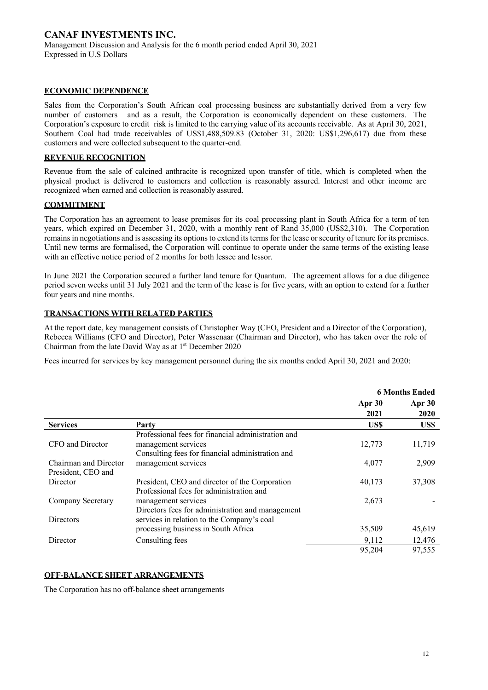# **ECONOMIC DEPENDENCE**

Sales from the Corporation's South African coal processing business are substantially derived from a very few number of customers and as a result, the Corporation is economically dependent on these customers. The Corporation's exposure to credit risk is limited to the carrying value of its accounts receivable. As at April 30, 2021, Southern Coal had trade receivables of US\$1,488,509.83 (October 31, 2020: US\$1,296,617) due from these customers and were collected subsequent to the quarter-end.

# **REVENUE RECOGNITION**

Revenue from the sale of calcined anthracite is recognized upon transfer of title, which is completed when the physical product is delivered to customers and collection is reasonably assured. Interest and other income are recognized when earned and collection is reasonably assured.

# **COMMITMENT**

The Corporation has an agreement to lease premises for its coal processing plant in South Africa for a term of ten years, which expired on December 31, 2020, with a monthly rent of Rand 35,000 (US\$2,310). The Corporation remains in negotiations and is assessing its options to extend its terms for the lease or security of tenure for its premises. Until new terms are formalised, the Corporation will continue to operate under the same terms of the existing lease with an effective notice period of 2 months for both lessee and lessor.

In June 2021 the Corporation secured a further land tenure for Quantum. The agreement allows for a due diligence period seven weeks until 31 July 2021 and the term of the lease is for five years, with an option to extend for a further four years and nine months.

# **TRANSACTIONS WITH RELATED PARTIES**

At the report date, key management consists of Christopher Way (CEO, President and a Director of the Corporation), Rebecca Williams (CFO and Director), Peter Wassenaar (Chairman and Director), who has taken over the role of Chairman from the late David Way as at  $1<sup>st</sup>$  December 2020

Fees incurred for services by key management personnel during the six months ended April 30, 2021 and 2020:

|                       |                                                    | <b>6 Months Ended</b> |        |
|-----------------------|----------------------------------------------------|-----------------------|--------|
|                       |                                                    | Apr 30                | Apr 30 |
|                       |                                                    | 2021                  | 2020   |
| <b>Services</b>       | Party                                              | US\$                  | US\$   |
|                       | Professional fees for financial administration and |                       |        |
| CFO and Director      | management services                                | 12,773                | 11,719 |
|                       | Consulting fees for financial administration and   |                       |        |
| Chairman and Director | management services                                | 4,077                 | 2,909  |
| President, CEO and    |                                                    |                       |        |
| Director              | President, CEO and director of the Corporation     | 40,173                | 37,308 |
|                       | Professional fees for administration and           |                       |        |
| Company Secretary     | management services                                | 2,673                 |        |
|                       | Directors fees for administration and management   |                       |        |
| Directors             | services in relation to the Company's coal         |                       |        |
|                       | processing business in South Africa                | 35,509                | 45,619 |
| Director              | Consulting fees                                    | 9,112                 | 12,476 |
|                       |                                                    | 95,204                | 97,555 |

#### **OFF-BALANCE SHEET ARRANGEMENTS**

The Corporation has no off-balance sheet arrangements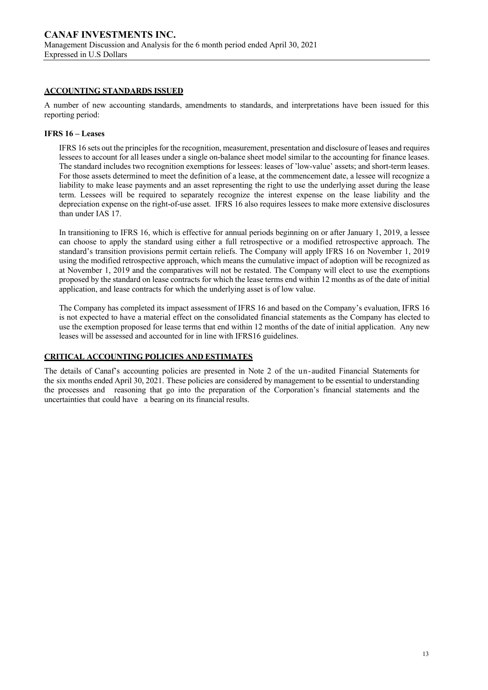# **ACCOUNTING STANDARDS ISSUED**

A number of new accounting standards, amendments to standards, and interpretations have been issued for this reporting period:

# **IFRS 16 – Leases**

IFRS 16 sets out the principles for the recognition, measurement, presentation and disclosure of leases and requires lessees to account for all leases under a single on-balance sheet model similar to the accounting for finance leases. The standard includes two recognition exemptions for lessees: leases of 'low-value' assets; and short-term leases. For those assets determined to meet the definition of a lease, at the commencement date, a lessee will recognize a liability to make lease payments and an asset representing the right to use the underlying asset during the lease term. Lessees will be required to separately recognize the interest expense on the lease liability and the depreciation expense on the right-of-use asset. IFRS 16 also requires lessees to make more extensive disclosures than under IAS 17.

In transitioning to IFRS 16, which is effective for annual periods beginning on or after January 1, 2019, a lessee can choose to apply the standard using either a full retrospective or a modified retrospective approach. The standard's transition provisions permit certain reliefs. The Company will apply IFRS 16 on November 1, 2019 using the modified retrospective approach, which means the cumulative impact of adoption will be recognized as at November 1, 2019 and the comparatives will not be restated. The Company will elect to use the exemptions proposed by the standard on lease contracts for which the lease terms end within 12 months as of the date of initial application, and lease contracts for which the underlying asset is of low value.

The Company has completed its impact assessment of IFRS 16 and based on the Company's evaluation, IFRS 16 is not expected to have a material effect on the consolidated financial statements as the Company has elected to use the exemption proposed for lease terms that end within 12 months of the date of initial application. Any new leases will be assessed and accounted for in line with IFRS16 guidelines.

# **CRITICAL ACCOUNTING POLICIES AND ESTIMATES**

The details of Canaf's accounting policies are presented in Note 2 of the un-audited Financial Statements for the six months ended April 30, 2021. These policies are considered by management to be essential to understanding the processes and reasoning that go into the preparation of the Corporation's financial statements and the uncertainties that could have a bearing on its financial results.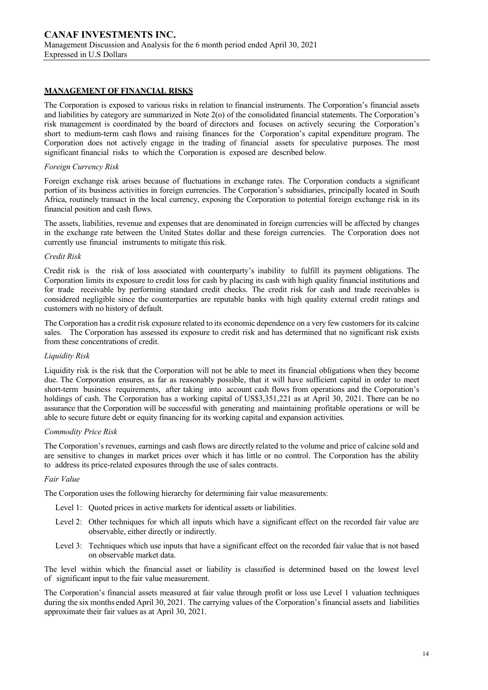# **MANAGEMENT OF FINANCIAL RISKS**

The Corporation is exposed to various risks in relation to financial instruments. The Corporation's financial assets and liabilities by category are summarized in Note 2(o) of the consolidated financial statements. The Corporation's risk management is coordinated by the board of directors and focuses on actively securing the Corporation's short to medium-term cash flows and raising finances for the Corporation's capital expenditure program. The Corporation does not actively engage in the trading of financial assets for speculative purposes. The most significant financial risks to which the Corporation is exposed are described below.

#### *Foreign Currency Risk*

Foreign exchange risk arises because of fluctuations in exchange rates. The Corporation conducts a significant portion of its business activities in foreign currencies. The Corporation's subsidiaries, principally located in South Africa, routinely transact in the local currency, exposing the Corporation to potential foreign exchange risk in its financial position and cash flows.

The assets, liabilities, revenue and expenses that are denominated in foreign currencies will be affected by changes in the exchange rate between the United States dollar and these foreign currencies. The Corporation does not currently use financial instruments to mitigate this risk.

#### *Credit Risk*

Credit risk is the risk of loss associated with counterparty's inability to fulfill its payment obligations. The Corporation limits its exposure to credit loss for cash by placing its cash with high quality financial institutions and for trade receivable by performing standard credit checks. The credit risk for cash and trade receivables is considered negligible since the counterparties are reputable banks with high quality external credit ratings and customers with no history of default.

The Corporation has a credit risk exposure related to its economic dependence on a very few customers for its calcine sales. The Corporation has assessed its exposure to credit risk and has determined that no significant risk exists from these concentrations of credit.

#### *Liquidity Risk*

Liquidity risk is the risk that the Corporation will not be able to meet its financial obligations when they become due. The Corporation ensures, as far as reasonably possible, that it will have sufficient capital in order to meet short-term business requirements, after taking into account cash flows from operations and the Corporation's holdings of cash. The Corporation has a working capital of US\$3,351,221 as at April 30, 2021. There can be no assurance that the Corporation will be successful with generating and maintaining profitable operations or will be able to secure future debt or equity financing for its working capital and expansion activities.

#### *Commodity Price Risk*

The Corporation's revenues, earnings and cash flows are directly related to the volume and price of calcine sold and are sensitive to changes in market prices over which it has little or no control. The Corporation has the ability to address its price-related exposures through the use of sales contracts.

#### *Fair Value*

The Corporation uses the following hierarchy for determining fair value measurements:

- Level 1: Quoted prices in active markets for identical assets or liabilities.
- Level 2: Other techniques for which all inputs which have a significant effect on the recorded fair value are observable, either directly or indirectly.
- Level 3: Techniques which use inputs that have a significant effect on the recorded fair value that is not based on observable market data.

The level within which the financial asset or liability is classified is determined based on the lowest level of significant input to the fair value measurement.

The Corporation's financial assets measured at fair value through profit or loss use Level 1 valuation techniques during the six months ended April 30, 2021. The carrying values of the Corporation's financial assets and liabilities approximate their fair values as at April 30, 2021.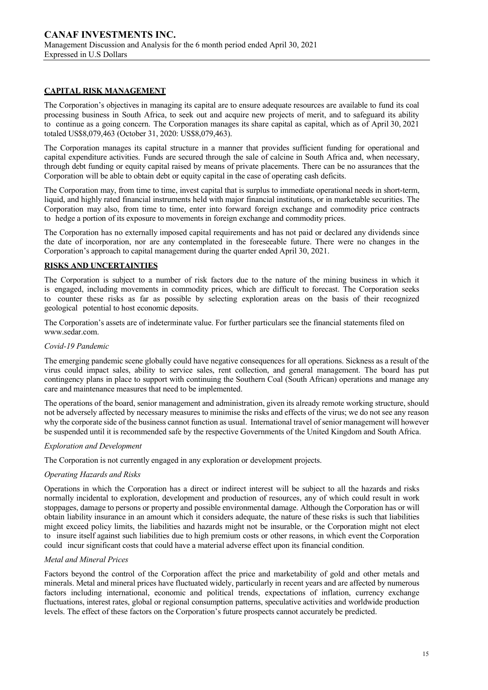# **CAPITAL RISK MANAGEMENT**

The Corporation's objectives in managing its capital are to ensure adequate resources are available to fund its coal processing business in South Africa, to seek out and acquire new projects of merit, and to safeguard its ability to continue as a going concern. The Corporation manages its share capital as capital, which as of April 30, 2021 totaled US\$8,079,463 (October 31, 2020: US\$8,079,463).

The Corporation manages its capital structure in a manner that provides sufficient funding for operational and capital expenditure activities. Funds are secured through the sale of calcine in South Africa and, when necessary, through debt funding or equity capital raised by means of private placements. There can be no assurances that the Corporation will be able to obtain debt or equity capital in the case of operating cash deficits.

The Corporation may, from time to time, invest capital that is surplus to immediate operational needs in short-term, liquid, and highly rated financial instruments held with major financial institutions, or in marketable securities. The Corporation may also, from time to time, enter into forward foreign exchange and commodity price contracts to hedge a portion of its exposure to movements in foreign exchange and commodity prices.

The Corporation has no externally imposed capital requirements and has not paid or declared any dividends since the date of incorporation, nor are any contemplated in the foreseeable future. There were no changes in the Corporation's approach to capital management during the quarter ended April 30, 2021.

### **RISKS AND UNCERTAINTIES**

The Corporation is subject to a number of risk factors due to the nature of the mining business in which it is engaged, including movements in commodity prices, which are difficult to forecast. The Corporation seeks to counter these risks as far as possible by selecting exploration areas on the basis of their recognized geological potential to host economic deposits.

The Corporation's assets are of indeterminate value. For further particulars see the financial statements filed on www.sedar.com.

#### *Covid-19 Pandemic*

The emerging pandemic scene globally could have negative consequences for all operations. Sickness as a result of the virus could impact sales, ability to service sales, rent collection, and general management. The board has put contingency plans in place to support with continuing the Southern Coal (South African) operations and manage any care and maintenance measures that need to be implemented.

The operations of the board, senior management and administration, given its already remote working structure, should not be adversely affected by necessary measures to minimise the risks and effects of the virus; we do not see any reason why the corporate side of the business cannot function as usual. International travel of senior management will however be suspended until it is recommended safe by the respective Governments of the United Kingdom and South Africa.

#### *Exploration and Development*

The Corporation is not currently engaged in any exploration or development projects.

#### *Operating Hazards and Risks*

Operations in which the Corporation has a direct or indirect interest will be subject to all the hazards and risks normally incidental to exploration, development and production of resources, any of which could result in work stoppages, damage to persons or property and possible environmental damage. Although the Corporation has or will obtain liability insurance in an amount which it considers adequate, the nature of these risks is such that liabilities might exceed policy limits, the liabilities and hazards might not be insurable, or the Corporation might not elect to insure itself against such liabilities due to high premium costs or other reasons, in which event the Corporation could incur significant costs that could have a material adverse effect upon its financial condition.

#### *Metal and Mineral Prices*

Factors beyond the control of the Corporation affect the price and marketability of gold and other metals and minerals. Metal and mineral prices have fluctuated widely, particularly in recent years and are affected by numerous factors including international, economic and political trends, expectations of inflation, currency exchange fluctuations, interest rates, global or regional consumption patterns, speculative activities and worldwide production levels. The effect of these factors on the Corporation's future prospects cannot accurately be predicted.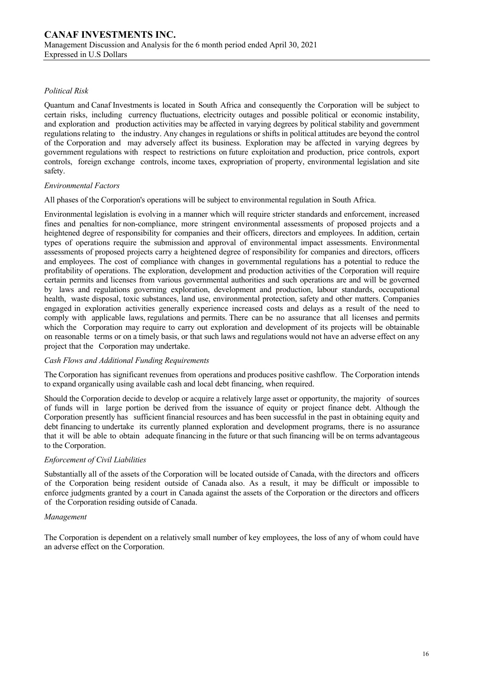# *Political Risk*

Quantum and Canaf Investments is located in South Africa and consequently the Corporation will be subject to certain risks, including currency fluctuations, electricity outages and possible political or economic instability, and exploration and production activities may be affected in varying degrees by political stability and government regulations relating to the industry. Any changes in regulations or shifts in political attitudes are beyond the control of the Corporation and may adversely affect its business. Exploration may be affected in varying degrees by government regulations with respect to restrictions on future exploitation and production, price controls, export controls, foreign exchange controls, income taxes, expropriation of property, environmental legislation and site safety.

# *Environmental Factors*

All phases of the Corporation's operations will be subject to environmental regulation in South Africa.

Environmental legislation is evolving in a manner which will require stricter standards and enforcement, increased fines and penalties for non-compliance, more stringent environmental assessments of proposed projects and a heightened degree of responsibility for companies and their officers, directors and employees. In addition, certain types of operations require the submission and approval of environmental impact assessments. Environmental assessments of proposed projects carry a heightened degree of responsibility for companies and directors, officers and employees. The cost of compliance with changes in governmental regulations has a potential to reduce the profitability of operations. The exploration, development and production activities of the Corporation will require certain permits and licenses from various governmental authorities and such operations are and will be governed by laws and regulations governing exploration, development and production, labour standards, occupational health, waste disposal, toxic substances, land use, environmental protection, safety and other matters. Companies engaged in exploration activities generally experience increased costs and delays as a result of the need to comply with applicable laws, regulations and permits. There can be no assurance that all licenses and permits which the Corporation may require to carry out exploration and development of its projects will be obtainable on reasonable terms or on a timely basis, or that such laws and regulations would not have an adverse effect on any project that the Corporation may undertake.

#### *Cash Flows and Additional Funding Requirements*

The Corporation has significant revenues from operations and produces positive cashflow. The Corporation intends to expand organically using available cash and local debt financing, when required.

Should the Corporation decide to develop or acquire a relatively large asset or opportunity, the majority of sources of funds will in large portion be derived from the issuance of equity or project finance debt. Although the Corporation presently has sufficient financial resources and has been successful in the past in obtaining equity and debt financing to undertake its currently planned exploration and development programs, there is no assurance that it will be able to obtain adequate financing in the future or that such financing will be on terms advantageous to the Corporation.

#### *Enforcement of Civil Liabilities*

Substantially all of the assets of the Corporation will be located outside of Canada, with the directors and officers of the Corporation being resident outside of Canada also. As a result, it may be difficult or impossible to enforce judgments granted by a court in Canada against the assets of the Corporation or the directors and officers of the Corporation residing outside of Canada.

#### *Management*

The Corporation is dependent on a relatively small number of key employees, the loss of any of whom could have an adverse effect on the Corporation.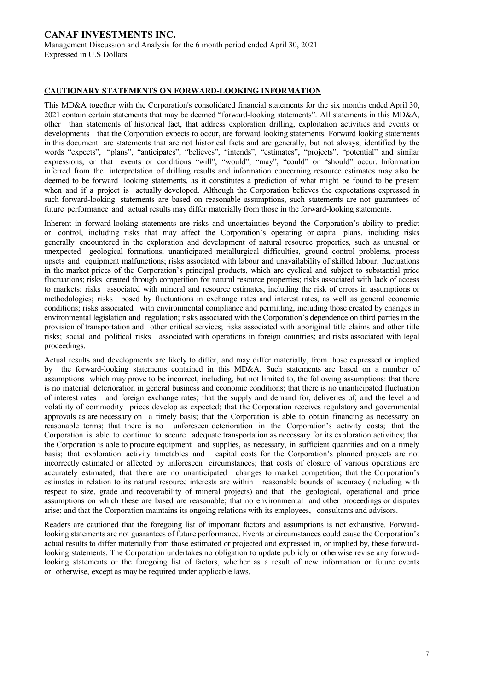# **CAUTIONARY STATEMENTS ON FORWARD-LOOKING INFORMATION**

This MD&A together with the Corporation's consolidated financial statements for the six months ended April 30, 2021 contain certain statements that may be deemed "forward-looking statements". All statements in this MD&A, other than statements of historical fact, that address exploration drilling, exploitation activities and events or developments that the Corporation expects to occur, are forward looking statements. Forward looking statements in this document are statements that are not historical facts and are generally, but not always, identified by the words "expects", "plans", "anticipates", "believes", "intends", "estimates", "projects", "potential" and similar expressions, or that events or conditions "will", "would", "may", "could" or "should" occur. Information inferred from the interpretation of drilling results and information concerning resource estimates may also be deemed to be forward looking statements, as it constitutes a prediction of what might be found to be present when and if a project is actually developed. Although the Corporation believes the expectations expressed in such forward-looking statements are based on reasonable assumptions, such statements are not guarantees of future performance and actual results may differ materially from those in the forward-looking statements.

Inherent in forward-looking statements are risks and uncertainties beyond the Corporation's ability to predict or control, including risks that may affect the Corporation's operating or capital plans, including risks generally encountered in the exploration and development of natural resource properties, such as unusual or unexpected geological formations, unanticipated metallurgical difficulties, ground control problems, process upsets and equipment malfunctions; risks associated with labour and unavailability of skilled labour; fluctuations in the market prices of the Corporation's principal products, which are cyclical and subject to substantial price fluctuations; risks created through competition for natural resource properties; risks associated with lack of access to markets; risks associated with mineral and resource estimates, including the risk of errors in assumptions or methodologies; risks posed by fluctuations in exchange rates and interest rates, as well as general economic conditions; risks associated with environmental compliance and permitting, including those created by changes in environmental legislation and regulation; risks associated with the Corporation's dependence on third parties in the provision of transportation and other critical services; risks associated with aboriginal title claims and other title risks; social and political risks associated with operations in foreign countries; and risks associated with legal proceedings.

Actual results and developments are likely to differ, and may differ materially, from those expressed or implied by the forward-looking statements contained in this MD&A. Such statements are based on a number of assumptions which may prove to be incorrect, including, but not limited to, the following assumptions: that there is no material deterioration in general business and economic conditions; that there is no unanticipated fluctuation of interest rates and foreign exchange rates; that the supply and demand for, deliveries of, and the level and volatility of commodity prices develop as expected; that the Corporation receives regulatory and governmental approvals as are necessary on a timely basis; that the Corporation is able to obtain financing as necessary on reasonable terms; that there is no unforeseen deterioration in the Corporation's activity costs; that the Corporation is able to continue to secure adequate transportation as necessary for its exploration activities; that the Corporation is able to procure equipment and supplies, as necessary, in sufficient quantities and on a timely basis; that exploration activity timetables and capital costs for the Corporation's planned projects are not incorrectly estimated or affected by unforeseen circumstances; that costs of closure of various operations are accurately estimated; that there are no unanticipated changes to market competition; that the Corporation's estimates in relation to its natural resource interests are within reasonable bounds of accuracy (including with respect to size, grade and recoverability of mineral projects) and that the geological, operational and price assumptions on which these are based are reasonable; that no environmental and other proceedings or disputes arise; and that the Corporation maintains its ongoing relations with its employees, consultants and advisors.

Readers are cautioned that the foregoing list of important factors and assumptions is not exhaustive. Forwardlooking statements are not guarantees of future performance. Events or circumstances could cause the Corporation's actual results to differ materially from those estimated or projected and expressed in, or implied by, these forwardlooking statements. The Corporation undertakes no obligation to update publicly or otherwise revise any forwardlooking statements or the foregoing list of factors, whether as a result of new information or future events or otherwise, except as may be required under applicable laws.